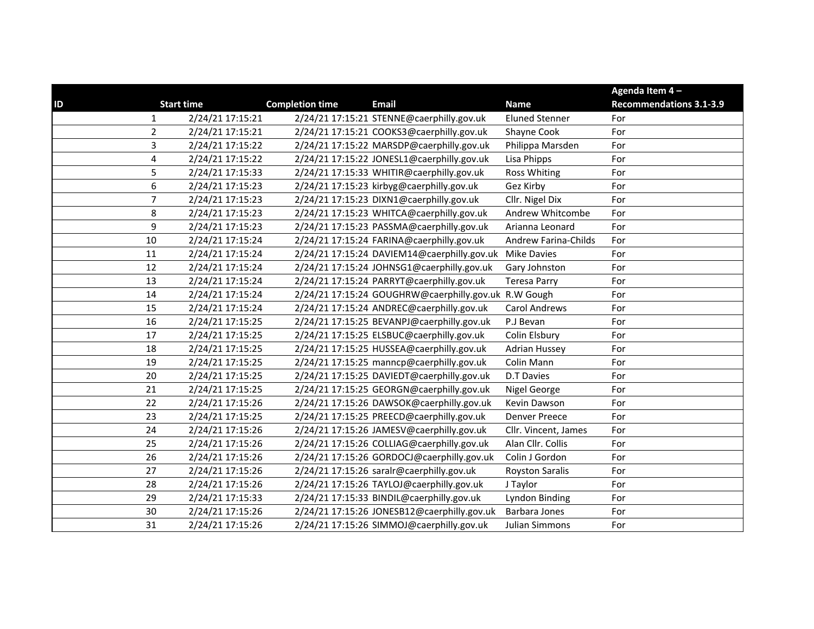| ID<br><b>Start time</b> | <b>Completion time</b> | <b>Email</b>                                         | <b>Name</b>                 | Agenda Item 4-<br><b>Recommendations 3.1-3.9</b> |
|-------------------------|------------------------|------------------------------------------------------|-----------------------------|--------------------------------------------------|
| $\mathbf{1}$            | 2/24/21 17:15:21       | 2/24/21 17:15:21 STENNE@caerphilly.gov.uk            | <b>Eluned Stenner</b>       | For                                              |
| $\overline{2}$          | 2/24/21 17:15:21       | 2/24/21 17:15:21 COOKS3@caerphilly.gov.uk            | Shayne Cook                 | For                                              |
| $\mathbf{3}$            | 2/24/21 17:15:22       | 2/24/21 17:15:22 MARSDP@caerphilly.gov.uk            | Philippa Marsden            | For                                              |
| 4                       | 2/24/21 17:15:22       | 2/24/21 17:15:22 JONESL1@caerphilly.gov.uk           | Lisa Phipps                 | For                                              |
| 5                       | 2/24/21 17:15:33       | 2/24/21 17:15:33 WHITIR@caerphilly.gov.uk            | <b>Ross Whiting</b>         | For                                              |
| 6                       | 2/24/21 17:15:23       | 2/24/21 17:15:23 kirbyg@caerphilly.gov.uk            | Gez Kirby                   | For                                              |
| $\overline{7}$          | 2/24/21 17:15:23       | 2/24/21 17:15:23 DIXN1@caerphilly.gov.uk             | Cllr. Nigel Dix             | For                                              |
| $\,8\,$                 | 2/24/21 17:15:23       | 2/24/21 17:15:23 WHITCA@caerphilly.gov.uk            | Andrew Whitcombe            | For                                              |
| $\boldsymbol{9}$        | 2/24/21 17:15:23       | 2/24/21 17:15:23 PASSMA@caerphilly.gov.uk            | Arianna Leonard             | For                                              |
| 10                      | 2/24/21 17:15:24       | 2/24/21 17:15:24 FARINA@caerphilly.gov.uk            | <b>Andrew Farina-Childs</b> | For                                              |
| 11                      | 2/24/21 17:15:24       | 2/24/21 17:15:24 DAVIEM14@caerphilly.gov.uk          | <b>Mike Davies</b>          | For                                              |
| 12                      | 2/24/21 17:15:24       | 2/24/21 17:15:24 JOHNSG1@caerphilly.gov.uk           | Gary Johnston               | For                                              |
| 13                      | 2/24/21 17:15:24       | 2/24/21 17:15:24 PARRYT@caerphilly.gov.uk            | <b>Teresa Parry</b>         | For                                              |
| 14                      | 2/24/21 17:15:24       | 2/24/21 17:15:24 GOUGHRW@caerphilly.gov.uk R.W Gough |                             | For                                              |
| 15                      | 2/24/21 17:15:24       | 2/24/21 17:15:24 ANDREC@caerphilly.gov.uk            | <b>Carol Andrews</b>        | For                                              |
| 16                      | 2/24/21 17:15:25       | 2/24/21 17:15:25 BEVANPJ@caerphilly.gov.uk           | P.J Bevan                   | For                                              |
| 17                      | 2/24/21 17:15:25       | 2/24/21 17:15:25 ELSBUC@caerphilly.gov.uk            | Colin Elsbury               | For                                              |
| 18                      | 2/24/21 17:15:25       | 2/24/21 17:15:25 HUSSEA@caerphilly.gov.uk            | <b>Adrian Hussey</b>        | For                                              |
| 19                      | 2/24/21 17:15:25       | 2/24/21 17:15:25 manncp@caerphilly.gov.uk            | Colin Mann                  | For                                              |
| 20                      | 2/24/21 17:15:25       | 2/24/21 17:15:25 DAVIEDT@caerphilly.gov.uk           | <b>D.T Davies</b>           | For                                              |
| 21                      | 2/24/21 17:15:25       | 2/24/21 17:15:25 GEORGN@caerphilly.gov.uk            | Nigel George                | For                                              |
| 22                      | 2/24/21 17:15:26       | 2/24/21 17:15:26 DAWSOK@caerphilly.gov.uk            | Kevin Dawson                | For                                              |
| 23                      | 2/24/21 17:15:25       | 2/24/21 17:15:25 PREECD@caerphilly.gov.uk            | <b>Denver Preece</b>        | For                                              |
| 24                      | 2/24/21 17:15:26       | 2/24/21 17:15:26 JAMESV@caerphilly.gov.uk            | Cllr. Vincent, James        | For                                              |
| 25                      | 2/24/21 17:15:26       | 2/24/21 17:15:26 COLLIAG@caerphilly.gov.uk           | Alan Cllr. Collis           | For                                              |
| 26                      | 2/24/21 17:15:26       | 2/24/21 17:15:26 GORDOCJ@caerphilly.gov.uk           | Colin J Gordon              | For                                              |
| 27                      | 2/24/21 17:15:26       | 2/24/21 17:15:26 saralr@caerphilly.gov.uk            | <b>Royston Saralis</b>      | For                                              |
| 28                      | 2/24/21 17:15:26       | 2/24/21 17:15:26 TAYLOJ@caerphilly.gov.uk            | J Taylor                    | For                                              |
| 29                      | 2/24/21 17:15:33       | 2/24/21 17:15:33 BINDIL@caerphilly.gov.uk            | <b>Lyndon Binding</b>       | For                                              |
| 30                      | 2/24/21 17:15:26       | 2/24/21 17:15:26 JONESB12@caerphilly.gov.uk          | Barbara Jones               | For                                              |
| 31                      | 2/24/21 17:15:26       | 2/24/21 17:15:26 SIMMOJ@caerphilly.gov.uk            | <b>Julian Simmons</b>       | For                                              |